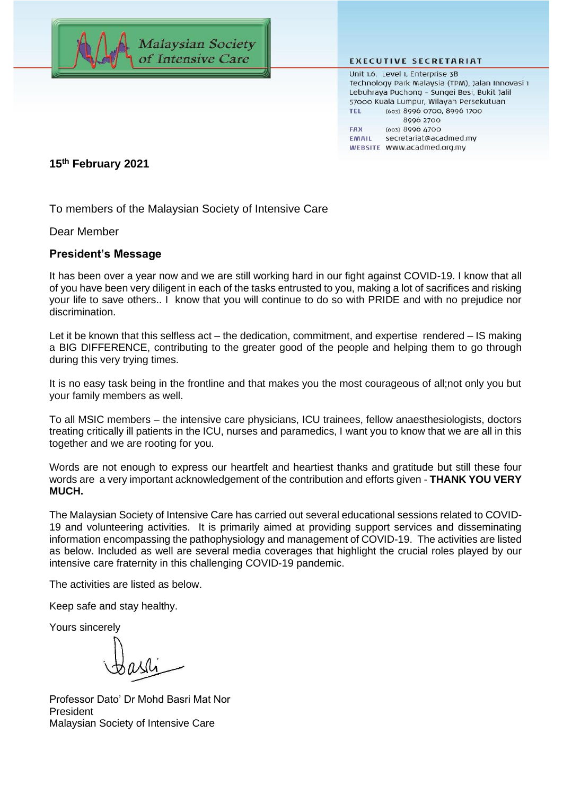

**EXECUTIVE SECRETARIAT** 

Unit 1.6, Level 1, Enterprise 3B Technology Park Malaysia (TPM), Jalan Innovasi 1 Lebuhraya Puchong - Sungei Besi, Bukit Jalil 57000 Kuala Lumpur, Wilayah Persekutuan (603) 8996 0700, 8996 1700 **TEL** 8996 2700 **FAX** (603) 8996 4700 EMAIL secretariat@acadmed.my WEBSITE WWW.acadmed.org.my

**15th February 2021** 

To members of the Malaysian Society of Intensive Care

Dear Member

## **President's Message**

It has been over a year now and we are still working hard in our fight against COVID-19. I know that all of you have been very diligent in each of the tasks entrusted to you, making a lot of sacrifices and risking your life to save others.. I know that you will continue to do so with PRIDE and with no prejudice nor discrimination.

Let it be known that this selfless act – the dedication, commitment, and expertise rendered – IS making a BIG DIFFERENCE, contributing to the greater good of the people and helping them to go through during this very trying times.

It is no easy task being in the frontline and that makes you the most courageous of all;not only you but your family members as well.

To all MSIC members – the intensive care physicians, ICU trainees, fellow anaesthesiologists, doctors treating critically ill patients in the ICU, nurses and paramedics, I want you to know that we are all in this together and we are rooting for you.

Words are not enough to express our heartfelt and heartiest thanks and gratitude but still these four words are a very important acknowledgement of the contribution and efforts given - **THANK YOU VERY MUCH.**

The Malaysian Society of Intensive Care has carried out several educational sessions related to COVID-19 and volunteering activities. It is primarily aimed at providing support services and disseminating information encompassing the pathophysiology and management of COVID-19. The activities are listed as below. Included as well are several media coverages that highlight the crucial roles played by our intensive care fraternity in this challenging COVID-19 pandemic.

The activities are listed as below.

Keep safe and stay healthy.

Yours sincerely

Professor Dato' Dr Mohd Basri Mat Nor President Malaysian Society of Intensive Care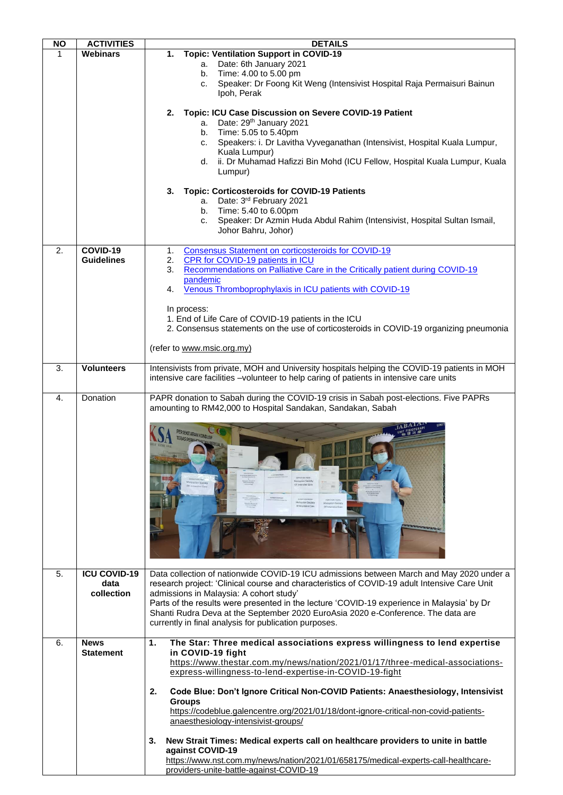| 1  | <b>Webinars</b>                 |                                                                                                                                                                                                                                                                                                                                                                                                                                                                                                                                                                                                                                                                                                                                              |
|----|---------------------------------|----------------------------------------------------------------------------------------------------------------------------------------------------------------------------------------------------------------------------------------------------------------------------------------------------------------------------------------------------------------------------------------------------------------------------------------------------------------------------------------------------------------------------------------------------------------------------------------------------------------------------------------------------------------------------------------------------------------------------------------------|
|    |                                 | <b>Topic: Ventilation Support in COVID-19</b><br>1.<br>Date: 6th January 2021<br>а.<br>Time: 4.00 to 5.00 pm<br>b.<br>Speaker: Dr Foong Kit Weng (Intensivist Hospital Raja Permaisuri Bainun<br>C.<br>Ipoh, Perak<br>Topic: ICU Case Discussion on Severe COVID-19 Patient<br>2.                                                                                                                                                                                                                                                                                                                                                                                                                                                            |
|    |                                 | Date: 29 <sup>th</sup> January 2021<br>а.<br>Time: 5.05 to 5.40pm<br>b.<br>Speakers: i. Dr Lavitha Vyveganathan (Intensivist, Hospital Kuala Lumpur,<br>C.<br>Kuala Lumpur)<br>ii. Dr Muhamad Hafizzi Bin Mohd (ICU Fellow, Hospital Kuala Lumpur, Kuala<br>d.<br>Lumpur)                                                                                                                                                                                                                                                                                                                                                                                                                                                                    |
|    |                                 | Topic: Corticosteroids for COVID-19 Patients<br>3.<br>Date: 3rd February 2021<br>а.<br>Time: 5.40 to 6.00pm<br>b.<br>Speaker: Dr Azmin Huda Abdul Rahim (Intensivist, Hospital Sultan Ismail,<br>C.<br>Johor Bahru, Johor)                                                                                                                                                                                                                                                                                                                                                                                                                                                                                                                   |
| 2. | COVID-19<br><b>Guidelines</b>   | <b>Consensus Statement on corticosteroids for COVID-19</b><br>1.<br>CPR for COVID-19 patients in ICU<br>2.<br>Recommendations on Palliative Care in the Critically patient during COVID-19<br>3.<br>pandemic<br>Venous Thromboprophylaxis in ICU patients with COVID-19<br>4.<br>In process:<br>1. End of Life Care of COVID-19 patients in the ICU<br>2. Consensus statements on the use of corticosteroids in COVID-19 organizing pneumonia<br>(refer to www.msic.org.my)                                                                                                                                                                                                                                                                  |
| 3. | <b>Volunteers</b>               | Intensivists from private, MOH and University hospitals helping the COVID-19 patients in MOH<br>intensive care facilities -volunteer to help caring of patients in intensive care units                                                                                                                                                                                                                                                                                                                                                                                                                                                                                                                                                      |
| 4. | Donation<br><b>ICU COVID-19</b> | PAPR donation to Sabah during the COVID-19 crisis in Sabah post-elections. Five PAPRs<br>amounting to RM42,000 to Hospital Sandakan, Sandakan, Sabah<br><b>PERSEKITARAN KONDUSIE</b>                                                                                                                                                                                                                                                                                                                                                                                                                                                                                                                                                         |
| 5. | data<br>collection              | Data collection of nationwide COVID-19 ICU admissions between March and May 2020 under a<br>research project: 'Clinical course and characteristics of COVID-19 adult Intensive Care Unit<br>admissions in Malaysia: A cohort study'<br>Parts of the results were presented in the lecture 'COVID-19 experience in Malaysia' by Dr<br>Shanti Rudra Deva at the September 2020 EuroAsia 2020 e-Conference. The data are<br>currently in final analysis for publication purposes.                                                                                                                                                                                                                                                               |
| 6. | <b>News</b><br><b>Statement</b> | The Star: Three medical associations express willingness to lend expertise<br>1.<br>in COVID-19 fight<br>https://www.thestar.com.my/news/nation/2021/01/17/three-medical-associations-<br>express-willingness-to-lend-expertise-in-COVID-19-fight<br>2.<br>Code Blue: Don't Ignore Critical Non-COVID Patients: Anaesthesiology, Intensivist<br><b>Groups</b><br>https://codeblue.galencentre.org/2021/01/18/dont-ignore-critical-non-covid-patients-<br>anaesthesiology-intensivist-groups/<br>New Strait Times: Medical experts call on healthcare providers to unite in battle<br>3.<br>against COVID-19<br>https://www.nst.com.my/news/nation/2021/01/658175/medical-experts-call-healthcare-<br>providers-unite-battle-against-COVID-19 |